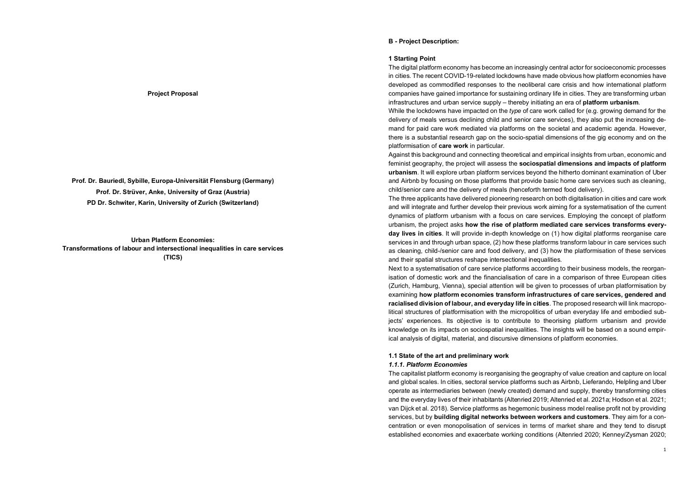## B - Project Description:

## 1 Starting Point

The digital platform economy has become an increasingly central actor for socioeconomic processes in cities. The recent COVID-19-related lockdowns have made obvious how platform economies have developed as commodified responses to the neoliberal care crisis and how international platform companies have gained importance for sustaining ordinary life in cities. They are transforming urban infrastructures and urban service supply – thereby initiating an era of **platform urbanism**.<br>While the lockdowns have impacted on the type of care work called for (e.g. growing demand for the

delivery of meals versus declining child and senior care services), they also put the increasing demand for paid care work mediated via platforms on the societal and academic agenda. However, there is a substantial research gap on the socio-spatial dimensions of the gig economy and on the platformisation of care work in particular.

Against this background and connecting theoretical and empirical insights from urban, economic and feminist geography, the project will assess the sociospatial dimensions and impacts of platform urbanism. It will explore urban platform services beyond the hitherto dominant examination of Uber and Airbnb by focusing on those platforms that provide basic home care services such as cleaning, child/senior care and the delivery of meals (henceforth termed food delivery).

The three applicants have delivered pioneering research on both digitalisation in cities and care work and will integrate and further develop their previous work aiming for a systematisation of the current dynamics of platform urbanism with a focus on care services. Employing the concept of platform urbanism, the project asks how the rise of platform mediated care services transforms everyday lives in cities. It will provide in-depth knowledge on (1) how digital platforms reorganise care services in and through urban space, (2) how these platforms transform labour in care services such as cleaning, child-/senior care and food delivery, and (3) how the platformisation of these services and their spatial structures reshape intersectional inequalities.

Next to a systematisation of care service platforms according to their business models, the reorganisation of domestic work and the financialisation of care in a comparison of three European cities (Zurich, Hamburg, Vienna), special attention will be given to processes of urban platformisation by examining how platform economies transform infrastructures of care services, gendered and racialised division of labour, and everyday life in cities. The proposed research will link macropolitical structures of platformisation with the micropolitics of urban everyday life and embodied subjects' experiences. Its objective is to contribute to theorising platform urbanism and provide knowledge on its impacts on sociospatial inequalities. The insights will be based on a sound empirical analysis of digital, material, and discursive dimensions of platform economies.

## 1.1 State of the art and preliminary work

# 1.1.1. Platform Economies

The capitalist platform economy is reorganising the geography of value creation and capture on local and global scales. In cities, sectoral service platforms such as Airbnb, Lieferando, Helpling and Uber operate as intermediaries between (newly created) demand and supply, thereby transforming cities and the everyday lives of their inhabitants (Altenried 2019; Altenried et al. 2021a; Hodson et al. 2021; van Dijck et al. 2018). Service platforms as hegemonic business model realise profit not by providing services, but by building digital networks between workers and customers. They aim for a concentration or even monopolisation of services in terms of market share and they tend to disrupt established economies and exacerbate working conditions (Altenried 2020; Kenney/Zysman 2020;

#### Project Proposal

Prof. Dr. Bauriedl, Sybille, Europa-Universität Flensburg (Germany) Prof. Dr. Strüver, Anke, University of Graz (Austria) PD Dr. Schwiter, Karin, University of Zurich (Switzerland)

Urban Platform Economies: Transformations of labour and intersectional inequalities in care services (TICS)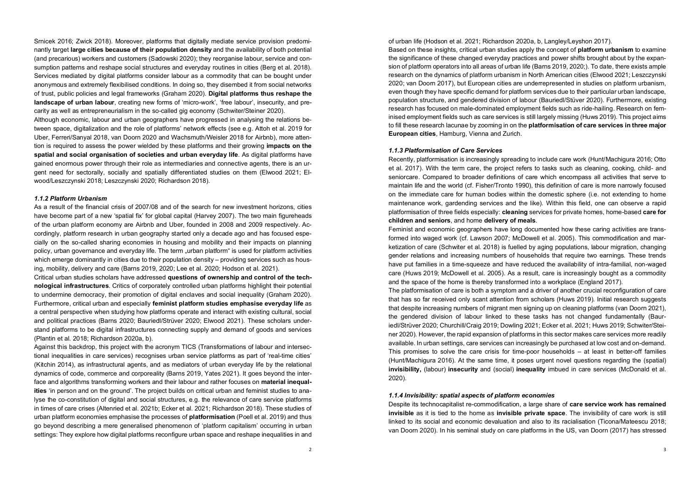Srnicek 2016; Zwick 2018). Moreover, platforms that digitally mediate service provision predominantly target large cities because of their population density and the availability of both potential (and precarious) workers and customers (Sadowski 2020); they reorganise labour, service and consumption patterns and reshape social structures and everyday routines in cities (Berg et al. 2018). Services mediated by digital platforms consider labour as a commodity that can be bought under anonymous and extremely flexibilised conditions. In doing so, they disembed it from social networks of trust, public policies and legal frameworks (Graham 2020). Digital platforms thus reshape the landscape of urban labour, creating new forms of 'micro-work', 'free labour', insecurity, and precarity as well as entrepreneurialism in the so-called gig economy (Schwiter/Steiner 2020).

Although economic, labour and urban geographers have progressed in analysing the relations between space, digitalization and the role of platforms' network effects (see e.g. Attoh et al. 2019 for Uber, Ferreri/Sanyal 2018, van Doorn 2020 and Wachsmuth/Weisler 2018 for Airbnb), more attention is required to assess the power wielded by these platforms and their growing impacts on the spatial and social organisation of societies and urban everyday life. As digital platforms have gained enormous power through their role as intermediaries and connective agents, there is an urgent need for sectorally, socially and spatially differentiated studies on them (Elwood 2021; Elwood/Leszczynski 2018; Leszczynski 2020; Richardson 2018).

#### 1.1.2 Platform Urbanism

As a result of the financial crisis of 2007/08 and of the search for new investment horizons, cities have become part of a new 'spatial fix' for global capital (Harvey 2007). The two main figureheads<br>
children and seniors, and home delivery of meals. of the urban platform economy are Airbnb and Uber, founded in 2008 and 2009 respectively. Accordingly, platform research in urban geography started only a decade ago and has focused especially on the so-called sharing economies in housing and mobility and their impacts on planning policy, urban governance and everyday life. The term "urban platform" is used for platform activities which emerge dominantly in cities due to their population density – providing services such as housing, mobility, delivery and care (Barns 2019, 2020; Lee et al. 2020; Hodson et al. 2021).

Critical urban studies scholars have addressed questions of ownership and control of the technological infrastructures. Critics of corporately controlled urban platforms highlight their potential to undermine democracy, their promotion of digital enclaves and social inequality (Graham 2020). Furthermore, critical urban and especially **feminist platform studies emphasise everyday life** as a central perspective when studying how platforms operate and interact with existing cultural, social and political practices (Barns 2020; Bauriedl/Strüver 2020; Elwood 2021). These scholars understand platforms to be digital infrastructures connecting supply and demand of goods and services (Plantin et al. 2018; Richardson 2020a, b).

Against this backdrop, this project with the acronym TICS (Transformations of labour and intersectional inequalities in care services) recognises urban service platforms as part of 'real-time cities' (Kitchin 2014), as infrastructural agents, and as mediators of urban everyday life by the relational dynamics of code, commerce and corporeality (Barns 2019, Yates 2021). It goes beyond the interface and algorithms transforming workers and their labour and rather focuses on **material inequal**ities 'in person and on the ground'. The project builds on critical urban and feminist studies to analyse the co-constitution of digital and social structures, e.g. the relevance of care service platforms in times of care crises (Altenried et al. 2021b; Ecker et al. 2021; Richardson 2018). These studies of urban platform economies emphasise the processes of platformisation (Poell et al. 2019) and thus go beyond describing a mere generalised phenomenon of 'platform capitalism' occurring in urban settings: They explore how digital platforms reconfigure urban space and reshape inequalities in and

of urban life (Hodson et al. 2021; Richardson 2020a, b, Langley/Leyshon 2017).

Based on these insights, critical urban studies apply the concept of **platform urbanism** to examine the significance of these changed everyday practices and power shifts brought about by the expansion of platform operators into all areas of urban life (Barns 2019, 2020;). To date, there exists ample research on the dynamics of platform urbanism in North American cities (Elwood 2021; Leszczynski 2020; van Doorn 2017), but European cities are underrepresented in studies on platform urbanism, even though they have specific demand for platform services due to their particular urban landscape, population structure, and gendered division of labour (Bauriedl/Stüver 2020). Furthermore, existing research has focused on male-dominated employment fields such as ride-hailing. Research on feminised employment fields such as care services is still largely missing (Huws 2019). This project aims to fill these research lacunae by zooming in on the **platformisation of care services in three major** European cities, Hamburg, Vienna and Zurich.

## 1.1.3 Platformisation of Care Services

Recently, platformisation is increasingly spreading to include care work (Hunt/Machigura 2016; Otto et al. 2017). With the term care, the project refers to tasks such as cleaning, cooking, child- and seniorcare. Compared to broader definitions of care which encompass all activities that serve to maintain life and the world (cf. Fisher/Tronto 1990), this definition of care is more narrowly focused on the immediate care for human bodies within the domestic sphere (i.e. not extending to home maintenance work, gardending services and the like). Within this field, one can observe a rapid platformisation of three fields especially: cleaning services for private homes, home-based care for

Feminist and economic geographers have long documented how these caring activities are transformed into waged work (cf. Lawson 2007; McDowell et al. 2005). This commodification and marketization of care (Schwiter et al. 2018) is fuelled by aging populations, labour migration, changing gender relations and increasing numbers of households that require two earnings. These trends have put families in a time-squeeze and have reduced the availability of intra-familial, non-waged care (Huws 2019; McDowell et al. 2005). As a result, care is increasingly bought as a commodity and the space of the home is thereby transformed into a workplace (England 2017).

The platformisation of care is both a symptom and a driver of another crucial reconfiguration of care that has so far received only scant attention from scholars (Huws 2019). Initial research suggests that despite increasing numbers of migrant men signing up on cleaning platforms (van Doorn 2021), the gendered division of labour linked to these tasks has not changed fundamentally (Bauriedl/Strüver 2020; Churchill/Craig 2019; Dowling 2021; Ecker et al. 2021; Huws 2019; Schwiter/Steiner 2020). However, the rapid expansion of platforms in this sector makes care services more readily available. In urban settings, care services can increasingly be purchased at low cost and on-demand. This promises to solve the care crisis for time-poor households – at least in better-off families (Hunt/Machigura 2016). At the same time, it poses urgent novel questions regarding the (spatial) invisibility, (labour) insecurity and (social) inequality imbued in care services (McDonald et al. 2020).

#### 1.1.4 Invisibility: spatial aspects of platform economies

Despite its technocapitalist re-commodification, a large share of care service work has remained invisible as it is tied to the home as invisible private space. The invisibility of care work is still linked to its social and economic devaluation and also to its racialisation (Ticona/Mateescu 2018; van Doorn 2020). In his seminal study on care platforms in the US, van Doorn (2017) has stressed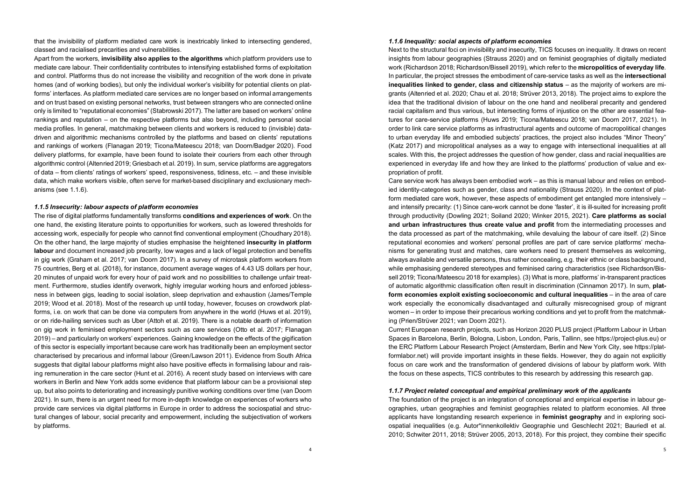that the invisibility of platform mediated care work is inextricably linked to intersecting gendered, classed and racialised precarities and vulnerabilities.

Apart from the workers, invisibility also applies to the algorithms which platform providers use to mediate care labour. Their confidentiality contributes to intensifying established forms of exploitation and control. Platforms thus do not increase the visibility and recognition of the work done in private homes (and of working bodies), but only the individual worker's visibility for potential clients on platforms' interfaces. As platform mediated care services are no longer based on informal arrangements and on trust based on existing personal networks, trust between strangers who are connected online only is limited to "reputational economies" (Stabrowski 2017). The latter are based on workers' online rankings and reputation – on the respective platforms but also beyond, including personal social media profiles. In general, matchmaking between clients and workers is reduced to (invisible) datadriven and algorithmic mechanisms controlled by the platforms and based on clients' reputations and rankings of workers (Flanagan 2019; Ticona/Mateescu 2018; van Doorn/Badger 2020). Food delivery platforms, for example, have been found to isolate their couriers from each other through algorithmic control (Altenried 2019; Griesbach et al. 2019). In sum, service platforms are aggregators of data – from clients' ratings of workers' speed, responsiveness, tidiness, etc. – and these invisible data, which make workers visible, often serve for market-based disciplinary and exclusionary mechanisms (see 1.1.6).

#### 1.1.5 Insecurity: labour aspects of platform economies

The rise of digital platforms fundamentally transforms conditions and experiences of work. On the one hand, the existing literature points to opportunities for workers, such as lowered thresholds for accessing work, especially for people who cannot find conventional employment (Choudhary 2018). On the other hand, the large majority of studies emphasise the heightened insecurity in platform labour and document increased job precarity, low wages and a lack of legal protection and benefits in gig work (Graham et al. 2017; van Doorn 2017). In a survey of microtask platform workers from 75 countries, Berg et al. (2018), for instance, document average wages of 4.43 US dollars per hour, 20 minutes of unpaid work for every hour of paid work and no possibilities to challenge unfair treatment. Furthermore, studies identify overwork, highly irregular working hours and enforced joblessness in between gigs, leading to social isolation, sleep deprivation and exhaustion (James/Temple 2019; Wood et al. 2018). Most of the research up until today, however, focuses on crowdwork platforms, i.e. on work that can be done via computers from anywhere in the world (Huws et al. 2019), or on ride-hailing services such as Uber (Attoh et al. 2019). There is a notable dearth of information on gig work in feminised employment sectors such as care services (Otto et al. 2017; Flanagan 2019) – and particularly on workers' experiences. Gaining knowledge on the effects of the gigification of this sector is especially important because care work has traditionally been an employment sector characterised by precarious and informal labour (Green/Lawson 2011). Evidence from South Africa suggests that digital labour platforms might also have positive effects in formalising labour and raising remuneration in the care sector (Hunt et al. 2016). A recent study based on interviews with care workers in Berlin and New York adds some evidence that platform labour can be a provisional step up, but also points to deteriorating and increasingly punitive working conditions over time (van Doorn 2021). In sum, there is an urgent need for more in-depth knowledge on experiences of workers who provide care services via digital platforms in Europe in order to address the sociospatial and structural changes of labour, social precarity and empowerment, including the subjectivation of workers by platforms.

# 1.1.6 Inequality: social aspects of platform economies

Next to the structural foci on invisibility and insecurity, TICS focuses on inequality. It draws on recent insights from labour geographies (Strauss 2020) and on feminist geographies of digitally mediated work (Richardson 2018; Richardson/Bissell 2019), which refer to the micropolitics of everyday life. In particular, the project stresses the embodiment of care-service tasks as well as the intersectional inequalities linked to gender, class and citizenship status – as the majority of workers are migrants (Altenried et al. 2020; Chau et al. 2018; Strüver 2013, 2018). The project aims to explore the idea that the traditional division of labour on the one hand and neoliberal precarity and gendered racial capitalism and thus various, but intersecting forms of injustice on the other are essential features for care-service platforms (Huws 2019; Ticona/Mateescu 2018; van Doorn 2017, 2021). In order to link care service platforms as infrastructural agents and outcome of macropolitical changes to urban everyday life and embodied subjects' practices, the project also includes "Minor Theory" (Katz 2017) and micropolitical analyses as a way to engage with intersectional inequalities at all scales. With this, the project addresses the question of how gender, class and racial inequalities are experienced in everyday life and how they are linked to the platforms' production of value and expropriation of profit.

Care service work has always been embodied work – as this is manual labour and relies on embodied identity-categories such as gender, class and nationality (Strauss 2020). In the context of platform mediated care work, however, these aspects of embodiment get entangled more intensively – and intensify precarity: (1) Since care-work cannot be done 'faster', it is ill-suited for increasing profit through productivity (Dowling 2021; Soiland 2020; Winker 2015, 2021). Care platforms as social and urban infrastructures thus create value and profit from the intermediating processes and the data processed as part of the matchmaking, while devaluing the labour of care itself. (2) Since reputational economies and workers' personal profiles are part of care service platforms' mechanisms for generating trust and matches, care workers need to present themselves as welcoming, always available and versatile persons, thus rather concealing, e.g. their ethnic or class background, while emphasising gendered stereotypes and feminised caring characteristics (see Richardson/Bissell 2019; Ticona/Mateescu 2018 for examples). (3) What is more, platforms' in-transparent practices of automatic algorithmic classification often result in discrimination (Cinnamon 2017). In sum, platform economies exploit existing socioeconomic and cultural inequalities – in the area of care work especially the economically disadvantaged and culturally misrecognised group of migrant women – in order to impose their precarious working conditions and yet to profit from the matchmaking (Prien/Strüver 2021; van Doorn 2021).

Current European research projects, such as Horizon 2020 PLUS project (Platform Labour in Urban Spaces in Barcelona, Berlin, Bologna, Lisbon, London, Paris, Tallinn, see https://project-plus.eu) or the ERC Platform Labour Research Project (Amsterdam, Berlin and New York City, see https://platformlabor.net) will provide important insights in these fields. However, they do again not explicitly focus on care work and the transformation of gendered divisions of labour by platform work. With the focus on these aspects, TICS contributes to this research by addressing this research gap.

#### 1.1.7 Project related conceptual and empirical preliminary work of the applicants

The foundation of the project is an integration of conceptional and empirical expertise in labour geographies, urban geographies and feminist geographies related to platform economies. All three applicants have longstanding research experience in **feminist geography** and in exploring sociospatial inequalities (e.g. Autor\*innenkollektiv Geographie und Geschlecht 2021; Bauriedl et al. 2010; Schwiter 2011, 2018; Strüver 2005, 2013, 2018). For this project, they combine their specific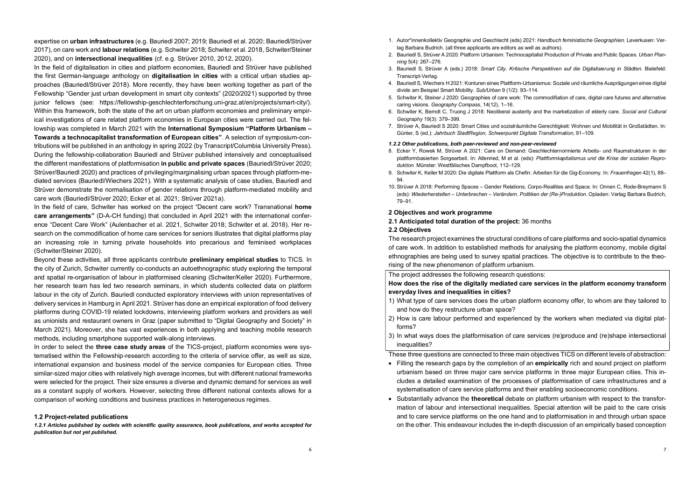expertise on urban infrastructures (e.g. Bauriedl 2007; 2019; Bauriedl et al. 2020; Bauriedl/Strüver 2017), on care work and labour relations (e.g. Schwiter 2018; Schwiter et al. 2018, Schwiter/Steiner 2020), and on intersectional inequalities (cf. e.g. Strüver 2010, 2012, 2020).

In the field of digitalisation in cities and platform economies, Bauriedl and Strüver have published the first German-language anthology on digitalisation in cities with a critical urban studies approaches (Bauriedl/Strüver 2018). More recently, they have been working together as part of the Fellowship "Gender just urban development in smart city contexts" (2020/2021) supported by three junior fellows (see: https://fellowship-geschlechterforschung.uni-graz.at/en/projects/smart-city/). Within this framework, both the state of the art on urban platform economies and preliminary empirical investigations of care related platform economies in European cities were carried out. The fellowship was completed in March 2021 with the International Symposium "Platform Urbanism – Towards a technocapitalist transformation of European cities". A selection of symposium-contributions will be published in an anthology in spring 2022 (by Transcript/Columbia University Press). During the fellowship-collaboration Bauriedl and Strüver published intensively and conceptualised the different manifestations of platformisation in public and private spaces (Bauriedl/Strüver 2020; Strüver/Bauriedl 2020) and practices of privileging/marginalising urban spaces through platform-mediated services (Bauriedl/Wiechers 2021). With a systematic analysis of case studies, Bauriedl and Strüver demonstrate the normalisation of gender relations through platform-mediated mobility and care work (Bauriedl/Strüver 2020; Ecker et al. 2021; Strüver 2021a).

In the field of care, Schwiter has worked on the project "Decent care work? Transnational home care arrangements" (D-A-CH funding) that concluded in April 2021 with the international conference "Decent Care Work" (Aulenbacher et al. 2021, Schwiter 2018; Schwiter et al. 2018). Her research on the commodification of home care services for seniors illustrates that digital platforms play an increasing role in turning private households into precarious and feminised workplaces (Schwiter/Steiner 2020).

Beyond these activities, all three applicants contribute preliminary empirical studies to TICS. In the city of Zurich, Schwiter currently co-conducts an autoethnographic study exploring the temporal and spatial re-organisation of labour in platformised cleaning (Schwiter/Keller 2020). Furthermore, her research team has led two research seminars, in which students collected data on platform labour in the city of Zurich. Bauriedl conducted exploratory interviews with union representatives of delivery services in Hamburg in April 2021. Strüver has done an empirical exploration of food delivery platforms during COVID-19 related lockdowns, interviewing platform workers and providers as well as unionists and restaurant owners in Graz (paper submitted to "Digital Geography and Society" in March 2021). Moreover, she has vast experiences in both applying and teaching mobile research methods, including smartphone supported walk-along interviews.

In order to select the three case study areas of the TICS-project, platform economies were systematised within the Fellowship-research according to the criteria of service offer, as well as size, international expansion and business model of the service companies for European cities. Three similar-sized major cities with relatively high average incomes, but with different national frameworks were selected for the project. Their size ensures a diverse and dynamic demand for services as well as a constant supply of workers. However, selecting three different national contexts allows for a comparison of working conditions and business practices in heterogeneous regimes.

#### 1.2 Project-related publications

1.2.1 Articles published by outlets with scientific quality assurance, book publications, and works accepted for publication but not yet published.

- 1. Autor\*innenkollektiv Geographie und Geschlecht (eds) 2021: Handbuch feministische Geographien. Leverkusen: Verlag Barbara Budrich. (all three applicants are editors as well as authors).
- 2. Bauriedl S, Strüver A 2020: Platform Urbanism: Technocapitalist Production of Private and Public Spaces. Urban Planning 5(4): 267–276.
- 3. Bauriedl S, Strüver A (eds.) 2018: Smart City. Kritische Perspektiven auf die Digitalisierung in Städten. Bielefeld: Transcript-Verlag.
- 4. Bauriedl S, Wiechers H 2021: Konturen eines Plattform-Urbanismus: Soziale und räumliche Ausprägungen eines digital divide am Beispiel Smart Mobility. Sub/Urban 9 (1/2): 93–114.
- 5. Schwiter K, Steiner J 2020: Geographies of care work: The commodifiation of care, digital care futures and alternative caring visions. Geography Compass, 14(12), 1–16.
- 6. Schwiter K, Berndt C, Truong J 2018: Neoliberal austerity and the marketization of elderly care. Social and Cultural Geography 19(3): 379–399.
- 7. Strüver A, Bauriedl S 2020: Smart Cities und sozialräumliche Gerechtigkeit: Wohnen und Mobilität in Großstädten. In: Günter, S (ed.): Jahrbuch StadtRegion, Schwerpunkt Digitale Transformation, 91–109.

# 1.2.2 Other publications, both peer-reviewed and non-peer-reviewed

- 8. Ecker Y, Rowek M, Strüver A 2021: Care on Demand: Geschlechternormierte Arbeits- und Raumstrukturen in der plattformbasierten Sorgearbeit. In: Altenried, M et al. (eds): Plattformkapitalismus und die Krise der sozialen Reproduktion. Münster: Westfälisches Dampfboot, 112–129.
- 9. Schwiter K, Keller M 2020: Die digitale Plattform als Chefin: Arbeiten für die Gig-Economy. In: Frauenfragen 42(1), 88– 94.
- 10. Strüver A 2018: Performing Spaces Gender Relations, Corpo-Realities and Space. In: Onnen C, Rode-Breymann S (eds): Wiederherstellen – Unterbrechen – Verändern. Politiken der (Re-)Produktion. Opladen: Verlag Barbara Budrich, 79–91.

#### 2 Objectives and work programme

2.1 Anticipated total duration of the project: 36 months

## 2.2 Objectives

The research project examines the structural conditions of care platforms and socio-spatial dynamics of care work. In addition to established methods for analysing the platform economy, mobile digital ethnographies are being used to survey spatial practices. The objective is to contribute to the theorising of the new phenomenon of platform urbanism.

The project addresses the following research questions:

How does the rise of the digitally mediated care services in the platform economy transform everyday lives and inequalities in cities?

- 1) What type of care services does the urban platform economy offer, to whom are they tailored to and how do they restructure urban space?
- 2) How is care labour performed and experienced by the workers when mediated via digital platforms?
- 3) In what ways does the platformisation of care services (re)produce and (re)shape intersectional inequalities?

These three questions are connected to three main objectives TICS on different levels of abstraction:

- Filling the research gaps by the completion of an empirically rich and sound project on platform urbanism based on three major care service platforms in three major European cities. This includes a detailed examination of the processes of platformisation of care infrastructures and a systematisation of care service platforms and their enabling socioeconomic conditions.
- Substantially advance the **theoretical** debate on platform urbanism with respect to the transformation of labour and intersectional inequalities. Special attention will be paid to the care crisis and to care service platforms on the one hand and to platformisation in and through urban space on the other. This endeavour includes the in-depth discussion of an empirically based conception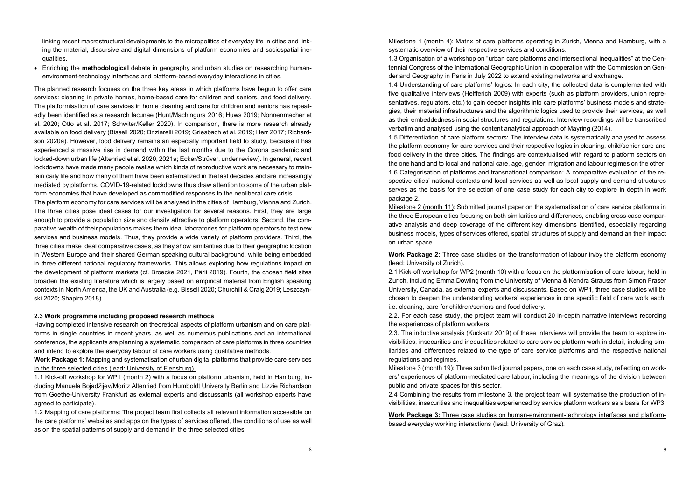linking recent macrostructural developments to the micropolitics of everyday life in cities and linking the material, discursive and digital dimensions of platform economies and sociospatial inequalities.

• Enriching the methodological debate in geography and urban studies on researching humanenvironment-technology interfaces and platform-based everyday interactions in cities.

The planned research focuses on the three key areas in which platforms have begun to offer care services: cleaning in private homes, home-based care for children and seniors, and food delivery. The platformisation of care services in home cleaning and care for children and seniors has repeatedly been identified as a research lacunae (Hunt/Machingura 2016; Huws 2019; Nonnenmacher et al. 2020; Otto et al. 2017; Schwiter/Keller 2020). In comparison, there is more research already available on food delivery (Bissell 2020; Briziarelli 2019; Griesbach et al. 2019; Herr 2017; Richardson 2020a). However, food delivery remains an especially important field to study, because it has experienced a massive rise in demand within the last months due to the Corona pandemic and locked-down urban life (Altenried et al. 2020, 2021a; Ecker/Strüver, under review). In general, recent lockdowns have made many people realise which kinds of reproductive work are necessary to maintain daily life and how many of them have been externalized in the last decades and are increasingly mediated by platforms. COVID-19-related lockdowns thus draw attention to some of the urban platform economies that have developed as commodified responses to the neoliberal care crisis.

The platform economy for care services will be analysed in the cities of Hamburg, Vienna and Zurich. The three cities pose ideal cases for our investigation for several reasons. First, they are large enough to provide a population size and density attractive to platform operators. Second, the comparative wealth of their populations makes them ideal laboratories for platform operators to test new services and business models. Thus, they provide a wide variety of platform providers. Third, the three cities make ideal comparative cases, as they show similarities due to their geographic location in Western Europe and their shared German speaking cultural background, while being embedded in three different national regulatory frameworks. This allows exploring how regulations impact on the development of platform markets (cf. Broecke 2021, Pärli 2019). Fourth, the chosen field sites broaden the existing literature which is largely based on empirical material from English speaking contexts in North America, the UK and Australia (e.g. Bissell 2020; Churchill & Craig 2019; Leszczynski 2020; Shapiro 2018).

#### 2.3 Work programme including proposed research methods

Having completed intensive research on theoretical aspects of platform urbanism and on care platforms in single countries in recent years, as well as numerous publications and an international conference, the applicants are planning a systematic comparison of care platforms in three countries and intend to explore the everyday labour of care workers using qualitative methods.

Work Package 1: Mapping and systematisation of urban digital platforms that provide care services in the three selected cities (lead: University of Flensburg).

1.1 Kick-off workshop for WP1 (month 2) with a focus on platform urbanism, held in Hamburg, including Manuela Bojadžijev/Moritz Altenried from Humboldt University Berlin and Lizzie Richardson from Goethe-University Frankfurt as external experts and discussants (all workshop experts have agreed to participate).

1.2 Mapping of care platforms: The project team first collects all relevant information accessible on the care platforms' websites and apps on the types of services offered, the conditions of use as well as on the spatial patterns of supply and demand in the three selected cities.

Milestone 1 (month 4): Matrix of care platforms operating in Zurich, Vienna and Hamburg, with a systematic overview of their respective services and conditions.

1.3 Organisation of a workshop on "urban care platforms and intersectional inequalities" at the Centennial Congress of the International Geographic Union in cooperation with the Commission on Gender and Geography in Paris in July 2022 to extend existing networks and exchange.

1.4 Understanding of care platforms' logics: In each city, the collected data is complemented with five qualitative interviews (Helfferich 2009) with experts (such as platform providers, union representatives, regulators, etc.) to gain deeper insights into care platforms' business models and strategies, their material infrastructures and the algorithmic logics used to provide their services, as well as their embeddedness in social structures and regulations. Interview recordings will be transcribed verbatim and analysed using the content analytical approach of Mayring (2014).

1.5 Differentiation of care platform sectors: The interview data is systematically analysed to assess the platform economy for care services and their respective logics in cleaning, child/senior care and food delivery in the three cities. The findings are contextualised with regard to platform sectors on the one hand and to local and national care, age, gender, migration and labour regimes on the other. 1.6 Categorisation of platforms and transnational comparison: A comparative evaluation of the respective cities' national contexts and local services as well as local supply and demand structures serves as the basis for the selection of one case study for each city to explore in depth in work package 2.

Milestone 2 (month 11): Submitted journal paper on the systematisation of care service platforms in the three European cities focusing on both similarities and differences, enabling cross-case comparative analysis and deep coverage of the different key dimensions identified, especially regarding business models, types of services offered, spatial structures of supply and demand an their impact on urban space.

# Work Package 2: Three case studies on the transformation of labour in/by the platform economy (lead: University of Zurich).

2.1 Kick-off workshop for WP2 (month 10) with a focus on the platformisation of care labour, held in Zurich, including Emma Dowling from the University of Vienna & Kendra Strauss from Simon Fraser University, Canada, as external experts and discussants. Based on WP1, three case studies will be chosen to deepen the understanding workers' experiences in one specific field of care work each, i.e. cleaning, care for children/seniors and food delivery.

2.2. For each case study, the project team will conduct 20 in-depth narrative interviews recording the experiences of platform workers.

2.3. The inductive analysis (Kuckartz 2019) of these interviews will provide the team to explore invisibilities, insecurities and inequalities related to care service platform work in detail, including similarities and differences related to the type of care service platforms and the respective national regulations and regimes.

Milestone 3 (month 19): Three submitted journal papers, one on each case study, reflecting on workers' experiences of platform-mediated care labour, including the meanings of the division between public and private spaces for this sector.

2.4 Combining the results from milestone 3, the project team will systematise the production of invisibilities, insecurities and inequalities experienced by service platform workers as a basis for WP3.

Work Package 3: Three case studies on human-environment-technology interfaces and platformbased everyday working interactions (lead: University of Graz).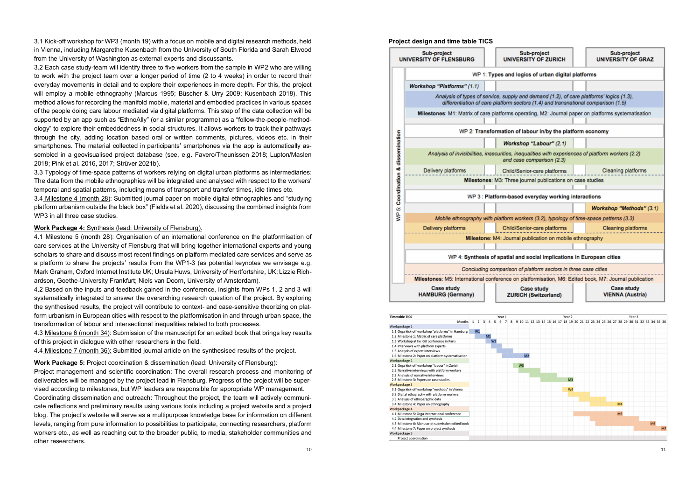3.1 Kick-off workshop for WP3 (month 19) with a focus on mobile and digital research methods, held in Vienna, including Margarethe Kusenbach from the University of South Florida and Sarah Elwood from the University of Washington as external experts and discussants.

3.2 Each case study-team will identify three to five workers from the sample in WP2 who are willing to work with the project team over a longer period of time (2 to 4 weeks) in order to record their everyday movements in detail and to explore their experiences in more depth. For this, the project will employ a mobile ethnography (Marcus 1995; Büscher & Urry 2009; Kusenbach 2018). This method allows for recording the manifold mobile, material and embodied practices in various spaces of the people doing care labour mediated via digital platforms. This step of the data collection will be supported by an app such as "EthnoAlly" (or a similar programme) as a "follow-the-people-methodology" to explore their embeddedness in social structures. It allows workers to track their pathways through the city, adding location based oral or written comments, pictures, videos etc. in their smartphones. The material collected in participants' smartphones via the app is automatically assembled in a geovisualised project database (see, e.g. Favero/Theunissen 2018; Lupton/Maslen 2018; Pink et al. 2016, 2017; Strüver 2021b).

3.3 Typology of time-space patterns of workers relying on digital urban platforms as intermediaries: The data from the mobile ethnographies will be integrated and analysed with respect to the workers' temporal and spatial patterns, including means of transport and transfer times, idle times etc.

3.4 Milestone 4 (month 28): Submitted journal paper on mobile digital ethnographies and "studying platform urbanism outside the black box" (Fields et al. 2020), discussing the combined insights from WP3 in all three case studies.

# Work Package 4: Synthesis (lead: University of Flensburg).

4.1 Milestone 5 (month 28): Organisation of an international conference on the platformisation of care services at the University of Flensburg that will bring together international experts and young scholars to share and discuss most recent findings on platform mediated care services and serve as a platform to share the projects' results from the WP1-3 (as potential keynotes we envisage e.g. Mark Graham, Oxford Internet Institute UK; Ursula Huws, University of Hertfortshire, UK; Lizzie Richardson, Goethe-University Frankfurt; Niels van Doorn, University of Amsterdam).

4.2 Based on the inputs and feedback gained in the conference, insights from WPs 1, 2 and 3 will systematically integrated to answer the overarching research question of the project. By exploring the synthesised results, the project will contribute to context- and case-sensitive theorizing on platform urbanism in European cities with respect to the platformisation in and through urban space, the transformation of labour and intersectional inequalities related to both processes.

4.3 Milestone 6 (month 34): Submission of the manuscript for an edited book that brings key results of this project in dialogue with other researchers in the field.

4.4 Milestone 7 (month 36): Submitted journal article on the synthesised results of the project.

# Work Package 5: Project coordination & dissemination (lead: University of Flensburg):

Project management and scientific coordination: The overall research process and monitoring of deliverables will be managed by the project lead in Flensburg. Progress of the project will be supervised according to milestones, but WP leaders are responsible for appropriate WP management. Coordinating dissemination and outreach: Throughout the project, the team will actively communicate reflections and preliminary results using various tools including a project website and a project blog. The project's website will serve as a multipurpose knowledge base for information on different levels, ranging from pure information to possibilities to participate, connecting researchers, platform workers etc., as well as reaching out to the broader public, to media, stakeholder communities and other researchers.



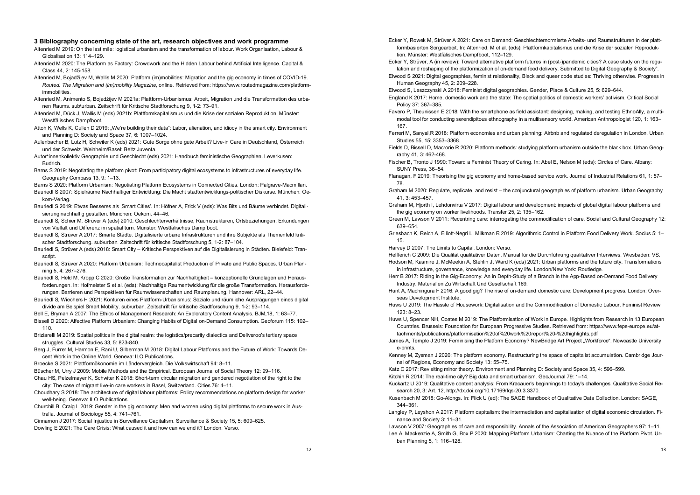#### 3 Bibliography concerning state of the art, research objectives and work programme

Altenried M 2019: On the last mile: logistical urbanism and the transformation of labour. Work Organisation, Labour & Globalisation 13: 114–129.

- Altenried M 2020: The Platform as Factory: Crowdwork and the Hidden Labour behind Artificial Intelligence. Capital & Class 44, 2: 145-158.
- Altenried M, Bojadžijev M, Wallis M 2020: Platform (im)mobilities: Migration and the gig economy in times of COVID-19. Routed. The Migration and (Im)mobility Magazine, online. Retrieved from: https://www.routedmagazine.com/platformimmobilities.
- Altenried M, Animento S, Bojadžijev M 2021a: Plattform-Urbanismus: Arbeit, Migration und die Transformation des urbanen Raums. sub\urban. Zeitschrift für Kritische Stadtforschung 9, 1-2: 73–91.
- Altenried M, Dück J, Wallis M (eds) 2021b: Plattformkapitalismus und die Krise der sozialen Reproduktion. Münster: Westfälisches Dampfboot.
- Attoh K, Wells K, Cullen D 2019: "We're building their data": Labor, alienation, and idiocy in the smart city. Environment and Planning D: Society and Space 37, 6: 1007–1024.
- Aulenbacher B, Lutz H, Schwiter K (eds) 2021: Gute Sorge ohne gute Arbeit? Live-in Care in Deutschland, Österreich und der Schweiz. Weinheim/Basel: Beltz Juventa.
- Autor\*innenkollektiv Geographie und Geschlecht (eds) 2021: Handbuch feministische Geographien. Leverkusen: Budrich.
- Barns S 2019: Negotiating the platform pivot: From participatory digital ecosystems to infrastructures of everyday life. Geography Compass 13, 9: 1–13.

Barns S 2020: Platform Urbanism: Negotiating Platform Ecosystems in Connected Cities. London: Palgrave-Macmillan.

Bauriedl S 2007: Spielräume Nachhaltiger Entwicklung: Die Macht stadtentwicklungs-politischer Diskurse. München: Oekom-Verlag.

- Bauriedl S 2019: Etwas Besseres als Smart Cities'. In: Höfner A, Frick V (eds): Was Bits und Bäume verbindet. Digitalisierung nachhaltig gestalten. München: Oekom, 44–46.
- Bauriedl S, Schier M, Strüver A (eds) 2010: Geschlechterverhältnisse, Raumstrukturen, Ortsbeziehungen. Erkundungen von Vielfalt und Differenz im spatial turn. Münster: Westfälisches Dampfboot.
- Bauriedl S, Strüver A 2017: Smarte Städte. Digitalisierte urbane Infrastrukturen und ihre Subjekte als Themenfeld kritischer Stadtforschung. sub\urban. Zeitschrift für kritische Stadtforschung 5, 1-2: 87–104.
- Bauriedl S, Strüver A (eds) 2018: Smart City Kritische Perspektiven auf die Digitalisierung in Städten. Bielefeld: Transcript. The contract of the contract of the contract of the contract of the contract of the contract of the contract of the contract of the contract of the contract of the contract of the contract of the contract of the co
- Bauriedl S, Strüver A 2020: Platform Urbanism: Technocapitalist Production of Private and Public Spaces. Urban Planning 5, 4: 267–276.
- Bauriedl S, Held M, Kropp C 2020: Große Transformation zur Nachhaltigkeit konzeptionelle Grundlagen und Herausforderungen. In: Hofmeister S et al. (eds): Nachhaltige Raumentwicklung für die große Transformation. Herausforderungen, Barrieren und Perspektiven für Raumwissenschaften und Raumplanung. Hannover: ARL, 22–44.
- Bauriedl S, Wiechers H 2021: Konturen eines Plattform-Urbanismus: Soziale und räumliche Ausprägungen eines digital divide am Beispiel Smart Mobility. sub\urban. Zeitschrift für kritische Stadtforschung 9, 1-2: 93–114.
- Bell E, Bryman A 2007: The Ethics of Management Research: An Exploratory Content Analysis. BJM,18, 1: 63–77. Bissell D 2020: Affective Platform Urbanism: Changing Habits of Digital on-Demand Consumption. Geoforum 115: 102–
- 110. Briziarelli M 2019: Spatial politics in the digital realm: the logistics/precarity dialectics and Deliveroo's tertiary space struggles. Cultural Studies 33, 5: 823-840.

Berg J, Furrer M, Harmon E, Rani U, Silberman M 2018: Digital Labour Platforms and the Future of Work: Towards Decent Work in the Online World. Geneva: ILO Publications.

- Broecke S 2021: Plattformökonomie im Ländervergleich. Die Volkswirtschaft 94: 8–11.
- Büscher M, Urry J 2009: Mobile Methods and the Empirical. European Journal of Social Theory 12: 99–116.
- Chau HS, Pelzelmayer K, Schwiter K 2018: Short-term circular migration and gendered negotiation of the right to the city: The case of migrant live-in care workers in Basel, Switzerland. Cities 76: 4–11.
- Choudhary S 2018: The architecture of digital labour platforms: Policy recommendations on platform design for worker well-being. Geneva: ILO Publications.
- Churchill B, Craig L 2019: Gender in the gig economy: Men and women using digital platforms to secure work in Australia. Journal of Sociology 55, 4: 741–761.

Cinnamon J 2017: Social Injustice in Surveillance Capitalism. Surveillance & Society 15, 5: 609–625. Dowling E 2021: The Care Crisis: What caused it and how can we end it? London: Verso.

- Ecker Y, Rowek M, Strüver A 2021: Care on Demand: Geschlechternormierte Arbeits- und Raumstrukturen in der plattformbasierten Sorgearbeit. In: Altenried, M et al. (eds): Plattformkapitalismus und die Krise der sozialen Reproduktion. Münster: Westfälisches Dampfboot, 112–129.
- Ecker Y, Strüver, A (in review): Toward alternative platform futures in (post-)pandemic cities? A case study on the regulation and reshaping of the platformization of on-demand food delivery. Submitted to Digital Geography & Society".
- Elwood S 2021: Digital geographies, feminist relationality, Black and queer code studies: Thriving otherwise. Progress in Human Geography 45, 2: 209–228.
- Elwood S, Leszczynski A 2018: Feminist digital geographies. Gender, Place & Culture 25, 5: 629–644.
- England K 2017: Home, domestic work and the state: The spatial politics of domestic workers' activism. Critical Social Policy 37: 367–385.
- Favero P, Theunissen E 2018: With the smartphone as field assistant: designing, making, and testing EthnoAlly, a multimodal tool for conducting serendipitous ethnography in a multisensory world. American Anthropologist 120, 1: 163– 167.
- Ferreri M, Sanyal,R 2018: Platform economies and urban planning: Airbnb and regulated deregulation in London. Urban Studies 55, 15: 3353–3368.
- Fields D, Bissell D, Macrorie R 2020: Platform methods: studying platform urbanism outside the black box. Urban Geography 41, 3: 462-468.
- Fischer B, Tronto J 1990: Toward a Feminist Theory of Caring. In: Abel E, Nelson M (eds): Circles of Care. Albany: SUNY Press, 36-54
- Flanagan, F 2019: Theorising the gig economy and home-based service work. Journal of Industrial Relations 61, 1: 57– 78.
- Graham M 2020: Regulate, replicate, and resist the conjunctural geographies of platform urbanism. Urban Geography 41, 3: 453–457.
- Graham M, Hjorth I, Lehdonvirta V 2017: Digital labour and development: impacts of global digital labour platforms and the gig economy on worker livelihoods. Transfer 25, 2: 135–162.
- Green M, Lawson V 2011: Recentring care: interrogating the commodification of care. Social and Cultural Geography 12: 639–654.
- Griesbach K, Reich A, Elliott-Negri L, Milkman R 2019: Algorithmic Control in Platform Food Delivery Work. Socius 5: 1– 15.
- Harvey D 2007: The Limits to Capital. London: Verso.

Helfferich C 2009: Die Qualität qualitativer Daten. Manual für die Durchführung qualitativer Interviews. Wiesbaden: VS.

- Hodson M, Kasmire J, McMeekin A, Stehlin J, Ward K (eds) 2021: Urban platforms and the future city. Transformations in infrastructure, governance, knowledge and everyday life. London/New York: Routledge.
- Herr B 2017: Riding in the Gig-Economy: An in Depth-Study of a Branch in the App-Based on-Demand Food Delivery Industry. Materialien Zu Wirtschaft Und Gesellschaft 169.
- Hunt A, Machingura F 2016: A good gig? The rise of on-demand domestic care: Development progress. London: Overseas Development Institute.
- Huws U 2019: The Hassle of Housework: Digitalisation and the Commodification of Domestic Labour. Feminist Review  $123.823$
- Huws U, Spencer NH, Coates M 2019: The Platformisation of Work in Europe. Highlights from Research in 13 European Countries. Brussels: Foundation for European Progressive Studies. Retrieved from: https://www.feps-europe.eu/attachments/publications/platformisation%20of%20work%20report%20-%20highlights.pdf
- James A, Temple J 2019: Feminising the Platform Economy? NewBridge Art Project "Workforce". Newcastle University e-prints.
- Kenney M, Zysman J 2020: The platform economy. Restructuring the space of capitalist accumulation. Cambridge Journal of Regions, Economy and Society 13: 55–75.
- Katz C 2017: Revisiting minor theory. Environment and Planning D: Society and Space 35, 4: 596–599.
- Kitchin R 2014: The real-time city? Big data and smart urbanism. GeoJournal 79: 1–14.
- Kuckartz U 2019: Qualitative content analysis: From Kracauer's beginnings to today's challenges. Qualitative Social Research 20, 3: Art. 12, http://dx.doi.org/10.17169/fqs-20.3.3370.
- Kusenbach M 2018: Go-Alongs. In: Flick U (ed): The SAGE Handbook of Qualitative Data Collection. London: SAGE, 344–361.
- Langley P, Leyshon A 2017: Platform capitalism: the intermediation and capitalisation of digital economic circulation. Finance and Society 3: 11–31.

Lawson V 2007: Geographies of care and responsibility. Annals of the Association of American Geographers 97: 1–11. Lee A, Mackenzie A, Smith G, Box P 2020: Mapping Platform Urbanism: Charting the Nuance of the Platform Pivot. Urban Planning 5, 1: 116–128.